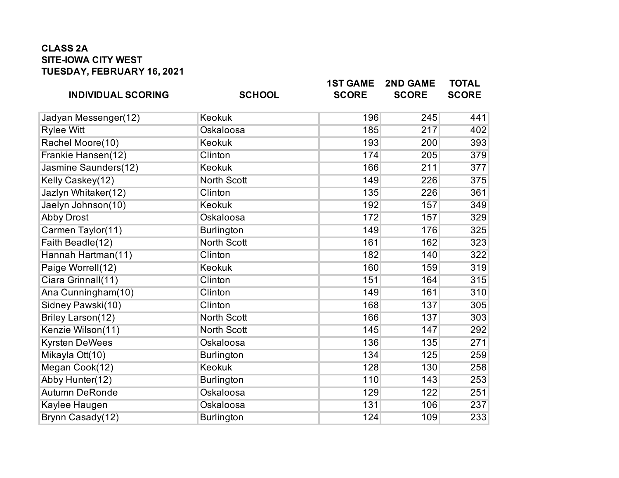## **CLASS 2A SITE-IOWA CITY WEST TUESDAY, FEBRUARY 16, 2021**

| <b>INDIVIDUAL SCORING</b> | <b>SCHOOL</b>      | <b>1ST GAME</b><br><b>SCORE</b> | <b>2ND GAME</b><br><b>SCORE</b> | <b>TOTAL</b><br><b>SCORE</b> |
|---------------------------|--------------------|---------------------------------|---------------------------------|------------------------------|
| Jadyan Messenger(12)      | <b>Keokuk</b>      | 196                             | 245                             | 441                          |
| <b>Rylee Witt</b>         | Oskaloosa          | 185                             | 217                             | 402                          |
| Rachel Moore(10)          | <b>Keokuk</b>      | 193                             | 200                             | 393                          |
| Frankie Hansen(12)        | Clinton            | 174                             | 205                             | 379                          |
| Jasmine Saunders(12)      | <b>Keokuk</b>      | 166                             | 211                             | 377                          |
| Kelly Caskey(12)          | <b>North Scott</b> | 149                             | 226                             | 375                          |
| Jazlyn Whitaker(12)       | Clinton            | 135                             | 226                             | 361                          |
| Jaelyn Johnson(10)        | <b>Keokuk</b>      | 192                             | 157                             | 349                          |
| <b>Abby Drost</b>         | Oskaloosa          | 172                             | 157                             | 329                          |
| Carmen Taylor(11)         | <b>Burlington</b>  | 149                             | 176                             | 325                          |
| Faith Beadle(12)          | <b>North Scott</b> | 161                             | 162                             | 323                          |
| Hannah Hartman(11)        | Clinton            | 182                             | 140                             | 322                          |
| Paige Worrell(12)         | <b>Keokuk</b>      | 160                             | 159                             | 319                          |
| Ciara Grinnall(11)        | Clinton            | 151                             | 164                             | 315                          |
| Ana Cunningham(10)        | Clinton            | 149                             | 161                             | 310                          |
| Sidney Pawski(10)         | Clinton            | 168                             | 137                             | 305                          |
| Briley Larson(12)         | <b>North Scott</b> | 166                             | 137                             | 303                          |
| Kenzie Wilson(11)         | <b>North Scott</b> | 145                             | 147                             | 292                          |
| <b>Kyrsten DeWees</b>     | Oskaloosa          | 136                             | 135                             | 271                          |
| Mikayla Ott(10)           | <b>Burlington</b>  | 134                             | 125                             | 259                          |
| Megan Cook(12)            | <b>Keokuk</b>      | 128                             | 130                             | 258                          |
| Abby Hunter(12)           | <b>Burlington</b>  | 110                             | 143                             | 253                          |
| <b>Autumn DeRonde</b>     | Oskaloosa          | 129                             | 122                             | 251                          |
| Kaylee Haugen             | Oskaloosa          | 131                             | 106                             | 237                          |
| Brynn Casady(12)          | <b>Burlington</b>  | 124                             | 109                             | 233                          |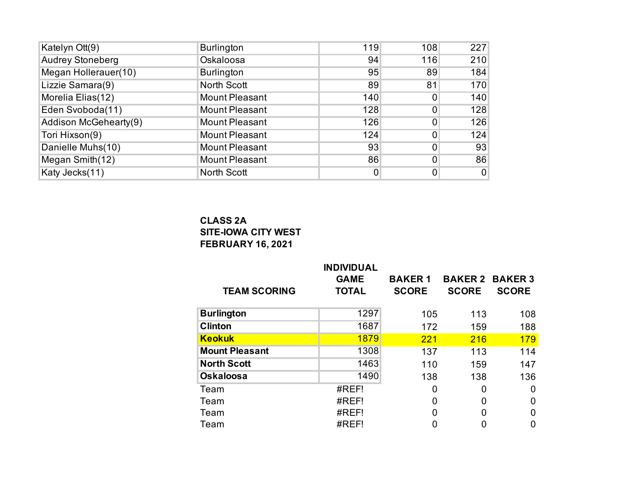| Katelyn Ott(9)          | <b>Burlington</b>     | 119         | 108 | 227         |
|-------------------------|-----------------------|-------------|-----|-------------|
| <b>Audrey Stoneberg</b> | Oskaloosa             | 94          | 116 | 210         |
| Megan Hollerauer(10)    | <b>Burlington</b>     | 95          | 89  | 184         |
| Lizzie Samara(9)        | North Scott           | 89          | 81  | 170         |
| Morelia Elias(12)       | <b>Mount Pleasant</b> | 140         | 0   | 140         |
| Eden Svoboda(11)        | <b>Mount Pleasant</b> | 128         | 0   | 128         |
| Addison McGehearty(9)   | <b>Mount Pleasant</b> | 126         | 0   | 126         |
| Tori Hixson(9)          | <b>Mount Pleasant</b> | 124         | 0   | 124         |
| Danielle Muhs(10)       | <b>Mount Pleasant</b> | 93          | 0   | 93          |
| Megan Smith(12)         | <b>Mount Pleasant</b> | 86          | 0   | 86          |
| Katy Jecks(11)          | North Scott           | $\mathbf 0$ | 0   | $\mathbf 0$ |

## **CLASS 2A SITE-IOWA CITY WEST FEBRUARY 16, 2021**

| <b>TEAM SCORING</b>   | <b>INDIVIDUAL</b><br><b>GAME</b><br><b>TOTAL</b> | <b>BAKER1</b><br><b>SCORE</b> | <b>BAKER 2 BAKER 3</b><br><b>SCORE</b> | <b>SCORE</b>   |
|-----------------------|--------------------------------------------------|-------------------------------|----------------------------------------|----------------|
| <b>Burlington</b>     | 1297                                             | 105                           | 113                                    | 108            |
| <b>Clinton</b>        | 1687                                             | 172                           | 159                                    | 188            |
| <b>Keokuk</b>         | 1879                                             | 221                           | 216                                    | 179            |
| <b>Mount Pleasant</b> | 1308                                             | 137                           | 113                                    | 114            |
| <b>North Scott</b>    | 1463                                             | 110                           | 159                                    | 147            |
| <b>Oskaloosa</b>      | 1490                                             | 138                           | 138                                    | 136            |
| Team                  | #REF!                                            | 0                             | 0                                      | 0              |
| Team                  | #REF!                                            | 0                             | 0                                      | 0              |
| Team                  | #REF!                                            | 0                             | 0                                      | $\overline{0}$ |
| Team                  | #REF!                                            | 0                             | 0                                      | 0              |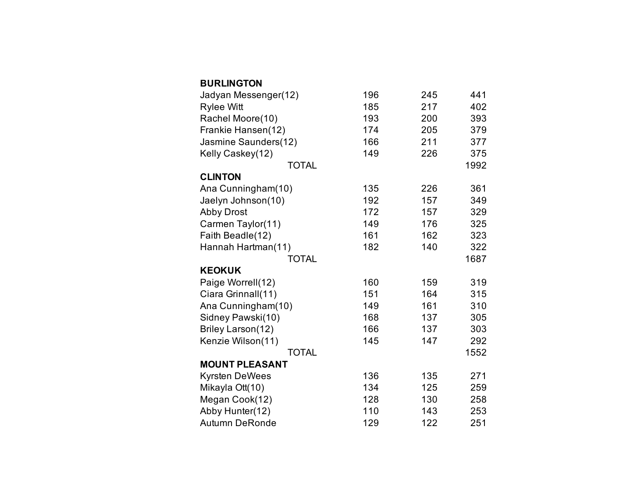| <b>BURLINGTON</b>     |     |     |      |
|-----------------------|-----|-----|------|
| Jadyan Messenger(12)  | 196 | 245 | 441  |
| <b>Rylee Witt</b>     | 185 | 217 | 402  |
| Rachel Moore(10)      | 193 | 200 | 393  |
| Frankie Hansen(12)    | 174 | 205 | 379  |
| Jasmine Saunders(12)  | 166 | 211 | 377  |
| Kelly Caskey(12)      | 149 | 226 | 375  |
| <b>TOTAL</b>          |     |     | 1992 |
| <b>CLINTON</b>        |     |     |      |
| Ana Cunningham(10)    | 135 | 226 | 361  |
| Jaelyn Johnson(10)    | 192 | 157 | 349  |
| <b>Abby Drost</b>     | 172 | 157 | 329  |
| Carmen Taylor(11)     | 149 | 176 | 325  |
| Faith Beadle(12)      | 161 | 162 | 323  |
| Hannah Hartman(11)    | 182 | 140 | 322  |
| <b>TOTAL</b>          |     |     | 1687 |
| <b>KEOKUK</b>         |     |     |      |
| Paige Worrell(12)     | 160 | 159 | 319  |
| Ciara Grinnall(11)    | 151 | 164 | 315  |
| Ana Cunningham(10)    | 149 | 161 | 310  |
| Sidney Pawski(10)     | 168 | 137 | 305  |
| Briley Larson(12)     | 166 | 137 | 303  |
| Kenzie Wilson(11)     | 145 | 147 | 292  |
| <b>TOTAL</b>          |     |     | 1552 |
| <b>MOUNT PLEASANT</b> |     |     |      |
| <b>Kyrsten DeWees</b> | 136 | 135 | 271  |
| Mikayla Ott(10)       | 134 | 125 | 259  |
| Megan Cook(12)        | 128 | 130 | 258  |
| Abby Hunter(12)       | 110 | 143 | 253  |
| <b>Autumn DeRonde</b> | 129 | 122 | 251  |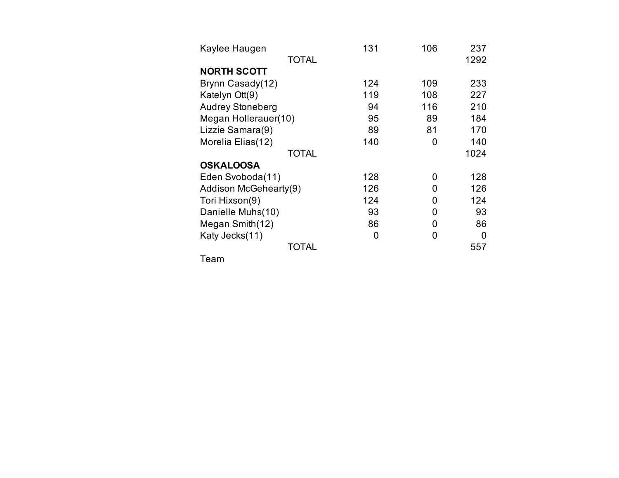| Kaylee Haugen           | 131 | 106 | 237  |
|-------------------------|-----|-----|------|
| <b>TOTAL</b>            |     |     | 1292 |
| <b>NORTH SCOTT</b>      |     |     |      |
| Brynn Casady(12)        | 124 | 109 | 233  |
| Katelyn Ott(9)          | 119 | 108 | 227  |
| <b>Audrey Stoneberg</b> | 94  | 116 | 210  |
| Megan Hollerauer(10)    | 95  | 89  | 184  |
| Lizzie Samara(9)        | 89  | 81  | 170  |
| Morelia Elias(12)       | 140 | 0   | 140  |
| <b>TOTAL</b>            |     |     | 1024 |
| <b>OSKALOOSA</b>        |     |     |      |
| Eden Svoboda(11)        | 128 | 0   | 128  |
| Addison McGehearty(9)   | 126 | 0   | 126  |
| Tori Hixson(9)          | 124 | 0   | 124  |
| Danielle Muhs(10)       | 93  | 0   | 93   |
| Megan Smith(12)         | 86  | 0   | 86   |
| Katy Jecks(11)          | 0   | 0   | 0    |
| TOTAL                   |     |     | 557  |

Team